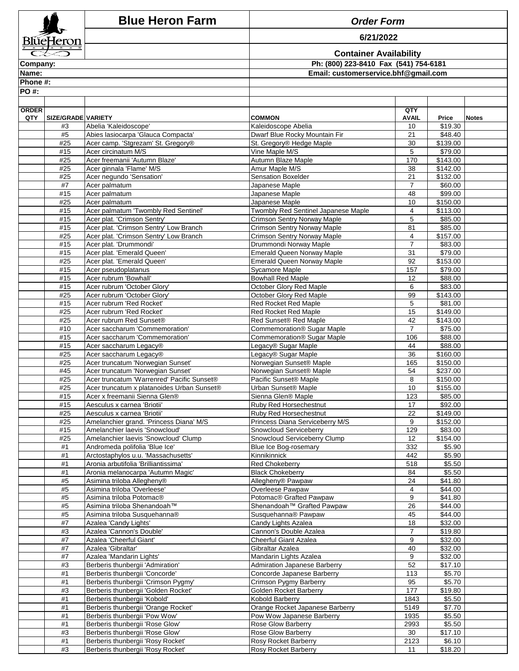|              |                    | <b>Blue Heron Farm</b>                                                          | <b>Order Form</b>                                                         |                       |                                         |              |  |
|--------------|--------------------|---------------------------------------------------------------------------------|---------------------------------------------------------------------------|-----------------------|-----------------------------------------|--------------|--|
| BlŭeHeron    |                    |                                                                                 | 6/21/2022                                                                 |                       |                                         |              |  |
|              |                    |                                                                                 | <b>Container Availability</b>                                             |                       |                                         |              |  |
| Company:     |                    |                                                                                 | Ph: (800) 223-8410 Fax (541) 754-6181                                     |                       |                                         |              |  |
| Name:        |                    |                                                                                 | Email: customerservice.bhf@gmail.com                                      |                       |                                         |              |  |
| Phone #:     |                    |                                                                                 |                                                                           |                       |                                         |              |  |
| PO #:        |                    |                                                                                 |                                                                           |                       |                                         |              |  |
| <b>ORDER</b> |                    |                                                                                 |                                                                           | QTY                   |                                         |              |  |
| QTY          | SIZE/GRADE VARIETY |                                                                                 | <b>COMMON</b>                                                             | <b>AVAIL</b>          | Price                                   | <b>Notes</b> |  |
|              | #3                 | Abelia 'Kaleidoscope'                                                           | Kaleidoscope Abelia                                                       | 10                    | \$19.30                                 |              |  |
|              | #5<br>#25          | Abies lasiocarpa 'Glauca Compacta'<br>Acer camp. 'Stgrezam' St. Gregory®        | Dwarf Blue Rocky Mountain Fir<br>St. Gregory® Hedge Maple                 | 21<br>30              | \$48.40<br>\$139.00                     |              |  |
|              | #15                | Acer circinatum M/S                                                             | Vine Maple M/S                                                            | 5                     | \$79.00                                 |              |  |
|              | #25                | Acer freemanii 'Autumn Blaze'                                                   | Autumn Blaze Maple                                                        | 170                   | \$143.00                                |              |  |
|              | #25<br>#25         | Acer ginnala 'Flame' M/S<br>Acer negundo 'Sensation'                            | Amur Maple M/S<br>Sensation Boxelder                                      | 38<br>21              | \$142.00                                |              |  |
|              | #7                 | Acer palmatum                                                                   | Japanese Maple                                                            | $\overline{7}$        | \$132.00<br>\$60.00                     |              |  |
|              | #15                | Acer palmatum                                                                   | Japanese Maple                                                            | 48                    | \$99.00                                 |              |  |
|              | #25                | Acer palmatum                                                                   | Japanese Maple                                                            | 10                    | \$150.00                                |              |  |
|              | #15<br>#15         | Acer palmatum 'Twombly Red Sentinel'<br>Acer plat. 'Crimson Sentry'             | Twombly Red Sentinel Japanese Maple<br><b>Crimson Sentry Norway Maple</b> | 4<br>5                | \$113.00<br>\$85.00                     |              |  |
|              | #15                | Acer plat. 'Crimson Sentry' Low Branch                                          | <b>Crimson Sentry Norway Maple</b>                                        | 81                    | \$85.00                                 |              |  |
|              | #25                | Acer plat. 'Crimson Sentry' Low Branch                                          | <b>Crimson Sentry Norway Maple</b>                                        | 4                     | \$157.00                                |              |  |
|              | #15                | Acer plat. 'Drummondi'                                                          | Drummondi Norway Maple                                                    | $\overline{7}$        | \$83.00                                 |              |  |
|              | #15<br>#25         | Acer plat. 'Emerald Queen'<br>Acer plat. 'Emerald Queen'                        | <b>Emerald Queen Norway Maple</b><br><b>Emerald Queen Norway Maple</b>    | 31<br>92              | \$79.00<br>\$153.00                     |              |  |
|              | #15                | Acer pseudoplatanus                                                             | <b>Sycamore Maple</b>                                                     | 157                   | \$79.00                                 |              |  |
|              | #15                | Acer rubrum 'Bowhall'                                                           | <b>Bowhall Red Maple</b>                                                  | 12                    | \$88.00                                 |              |  |
|              | #15<br>#25         | Acer rubrum 'October Glory'<br>Acer rubrum 'October Glory'                      | October Glory Red Maple<br>October Glory Red Maple                        | 6<br>99               | $\overline{$83.00}$<br>$\sqrt{$143.00}$ |              |  |
|              | #15                | Acer rubrum 'Red Rocket'                                                        | Red Rocket Red Maple                                                      | 5                     | \$81.00                                 |              |  |
|              | #25                | Acer rubrum 'Red Rocket'                                                        | Red Rocket Red Maple                                                      | 15                    | \$149.00                                |              |  |
|              | #25                | Acer rubrum Red Sunset®                                                         | Red Sunset® Red Maple                                                     | 42                    | \$143.00                                |              |  |
|              | #10<br>#15         | Acer saccharum 'Commemoration'<br>Acer saccharum 'Commemoration'                | Commemoration® Sugar Maple<br>Commemoration® Sugar Maple                  | $\overline{7}$<br>106 | \$75.00<br>\$88.00                      |              |  |
|              | #15                | Acer saccharum Legacv®                                                          | Legacy® Sugar Maple                                                       | 44                    | \$88.00                                 |              |  |
|              | #25                | Acer saccharum Legacy®                                                          | Legacy® Sugar Maple                                                       | 36                    | \$160.00                                |              |  |
|              | #25                | Acer truncatum 'Norwegian Sunset'                                               | Norwegian Sunset® Maple                                                   | 165                   | \$150.00                                |              |  |
|              | #45<br>#25         | Acer truncatum 'Norwegian Sunset'<br>Acer truncatum 'Warrenred' Pacific Sunset® | Norwegian Sunset® Maple<br>Pacific Sunset® Maple                          | 54<br>8               | \$237.00<br>\$150.00                    |              |  |
|              | #25                | Acer truncatum x platanoides Urban Sunset®                                      | Urban Sunset® Maple                                                       | 10                    | \$155.00                                |              |  |
|              | #15                | Acer x freemanii Sienna Glen®                                                   | Sienna Glen® Maple                                                        | 123                   | \$85.00                                 |              |  |
|              | #15<br>#25         | Aesculus x carnea 'Briotii'<br>Aesculus x carnea 'Briotii'                      | Ruby Red Horsechestnut<br>Ruby Red Horsechestnut                          | 17<br>22              | \$92.00<br>\$149.00                     |              |  |
|              | #25                | Amelanchier grand. 'Princess Diana' M/S                                         | Princess Diana Serviceberry M/S                                           | 9                     | \$152.00                                |              |  |
|              | #15                | Amelanchier laevis 'Snowcloud'                                                  | Snowcloud Serviceberry                                                    | 129                   | \$83.00                                 |              |  |
|              | #25                | Amelanchier laevis 'Snowcloud' Clump                                            | Snowcloud Serviceberry Clump                                              | 12                    | \$154.00                                |              |  |
|              | #1<br>#1           | Andromeda polifolia 'Blue Ice'<br>Arctostaphylos u.u. 'Massachusetts'           | Blue Ice Bog-rosemary<br>Kinnikinnick                                     | 332<br>442            | \$5.90<br>\$5.90                        |              |  |
|              | #1                 | Aronia arbutifolia 'Brilliantissima'                                            | Red Chokeberry                                                            | 518                   | \$5.50                                  |              |  |
|              | #1                 | Aronia melanocarpa 'Autumn Magic'                                               | <b>Black Chokeberry</b>                                                   | 84                    | \$5.50                                  |              |  |
|              | #5                 | Asimina triloba Allegheny®                                                      | Allegheny® Pawpaw                                                         | 24                    | \$41.80                                 |              |  |
|              | #5<br>#5           | Asimina triloba 'Overleese'<br>Asimina triloba Potomac®                         | Overleese Pawpaw<br>Potomac <sup>®</sup> Grafted Pawpaw                   | 4<br>9                | $\sqrt{$44.00}$<br>\$41.80              |              |  |
|              | #5                 | Asimina triloba Shenandoah™                                                     | Shenandoah™ Grafted Pawpaw                                                | 26                    | \$44.00                                 |              |  |
|              | #5                 | Asimina triloba Susquehanna®                                                    | Susquehanna® Pawpaw                                                       | 45                    | \$44.00                                 |              |  |
|              | #7                 | Azalea 'Candy Lights'                                                           | Candy Lights Azalea                                                       | 18                    | \$32.00                                 |              |  |
|              | #3<br>#7           | Azalea 'Cannon's Double'<br>Azalea 'Cheerful Giant'                             | Cannon's Double Azalea<br>Cheerful Giant Azalea                           | 7<br>9                | \$19.80<br>\$32.00                      |              |  |
|              | #7                 | Azalea 'Gibraltar'                                                              | Gibraltar Azalea                                                          | 40                    | \$32.00                                 |              |  |
|              | #7                 | Azalea 'Mandarin Lights'                                                        | Mandarin Lights Azalea                                                    | 9                     | \$32.00                                 |              |  |
|              | #3                 | Berberis thunbergii 'Admiration'                                                | <b>Admiration Japanese Barberry</b>                                       | 52                    | \$17.10                                 |              |  |
|              | #1<br>#1           | Berberis thunbergii 'Concorde'<br>Berberis thunbergii 'Crimson Pygmy'           | Concorde Japanese Barberry<br>Crimson Pygmy Barberry                      | 113<br>95             | \$5.70<br>\$5.70                        |              |  |
|              | #3                 | Berberis thunbergii 'Golden Rocket'                                             | Golden Rocket Barberry                                                    | 177                   | \$19.80                                 |              |  |
|              | #1                 | Berberis thunbergii 'Kobold'                                                    | Kobold Barberry                                                           | 1843                  | \$5.50                                  |              |  |
|              | #1                 | Berberis thunbergii 'Orange Rocket'                                             | Orange Rocket Japanese Barberry                                           | 5149                  | \$7.70                                  |              |  |
|              | #1<br>#1           | Berberis thunbergii 'Pow Wow'<br>Berberis thunbergii 'Rose Glow'                | Pow Wow Japanese Barberry<br>Rose Glow Barberry                           | 1935<br>2993          | \$5.50<br>\$5.50                        |              |  |
|              | #3                 | Berberis thunbergii 'Rose Glow'                                                 | Rose Glow Barberry                                                        | 30                    | \$17.10                                 |              |  |
|              | #1                 | Berberis thunbergii 'Rosy Rocket'                                               | Rosy Rocket Barberry                                                      | 2123                  | \$6.10                                  |              |  |
|              | #3                 | Berberis thunbergii 'Rosy Rocket'                                               | Rosy Rocket Barberry                                                      | 11                    | \$18.20                                 |              |  |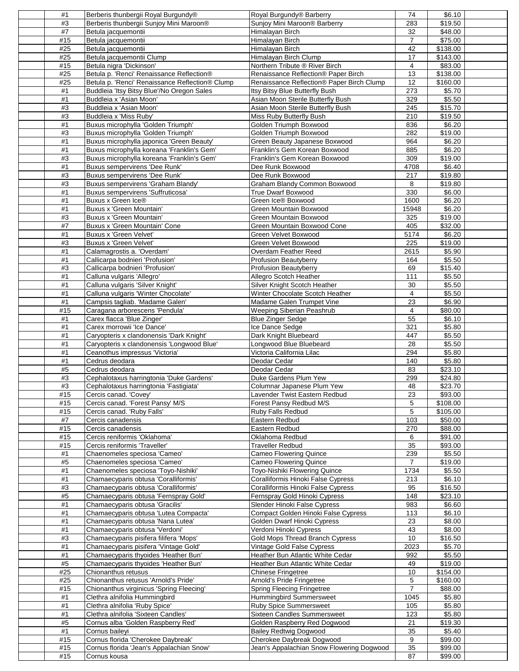| #1  | Berberis thunbergii Royal Burgundy®             | Royal Burgundy® Barberry                  | 74             | \$6.10          |
|-----|-------------------------------------------------|-------------------------------------------|----------------|-----------------|
| #3  | Berberis thunbergii Sunjoy Mini Maroon®         | Sunjoy Mini Maroon® Barberry              | 283            | \$19.50         |
| #7  | Betula jacquemontii                             | Himalayan Birch                           | 32             | \$48.00         |
| #15 | Betula jacquemontii                             | Himalayan Birch                           | $\overline{7}$ | \$75.00         |
| #25 | Betula jacquemontii                             | Himalayan Birch                           | 42             | \$138.00        |
| #25 | Betula jacquemontii Clump                       | Himalayan Birch Clump                     | 17             | \$143.00        |
| #15 | Betula nigra 'Dickinson'                        | Northern Tribute ® River Birch            | 4              | \$83.00         |
| #25 | Betula p. 'Renci' Renaissance Reflection®       | Renaissance Reflection® Paper Birch       | 13             | \$138.00        |
| #25 | Betula p. 'Renci' Renaissance Reflection® Clump | Renaissance Reflection® Paper Birch Clump | 12             | \$160.00        |
| #1  | Buddleia 'Itsy Bitsy Blue'/No Oregon Sales      | Itsy Bitsy Blue Butterfly Bush            | 273            | \$5.70          |
| #1  | Buddleia x 'Asian Moon'                         | Asian Moon Sterile Butterfly Bush         | 329            | \$5.50          |
| #3  | Buddleia x 'Asian Moon'                         | Asian Moon Sterile Butterfly Bush         | 245            | \$15.70         |
| #3  | Buddleia x 'Miss Ruby'                          | Miss Ruby Butterfly Bush                  | 210            | \$19.50         |
| #1  | Buxus microphylla 'Golden Triumph'              | Golden Triumph Boxwood                    | 836            | \$6.20          |
| #3  | Buxus microphylla 'Golden Triumph'              | Golden Triumph Boxwood                    | 282            | \$19.00         |
| #1  | Buxus microphylla japonica 'Green Beauty'       | Green Beauty Japanese Boxwood             | 964            | \$6.20          |
| #1  | Buxus microphylla koreana 'Franklin's Gem'      | Franklin's Gem Korean Boxwood             | 885            | \$6.20          |
| #3  | Buxus microphylla koreana 'Franklin's Gem'      | Franklin's Gem Korean Boxwood             | 309            | \$19.00         |
| #1  | Buxus sempervirens 'Dee Runk'                   | Dee Runk Boxwood                          | 4708           | \$6.40          |
| #3  | Buxus sempervirens 'Dee Runk'                   | Dee Runk Boxwood                          | 217            | \$19.80         |
| #3  | <b>Buxus sempervirens 'Graham Blandy'</b>       | Graham Blandy Common Boxwood              | 8              | \$19.80         |
| #1  | Buxus sempervirens 'Suffruticosa'               | <b>True Dwarf Boxwood</b>                 | 330            | \$6.00          |
| #1  | Buxus x Green Ice®                              | Green Ice® Boxwood                        | 1600           | \$6.20          |
| #1  | Buxus x 'Green Mountain'                        | Green Mountain Boxwood                    | 15948          | \$6.20          |
| #3  | Buxus x 'Green Mountain'                        | Green Mountain Boxwood                    | 325            | \$19.00         |
| #7  | Buxus x 'Green Mountain' Cone                   | Green Mountain Boxwood Cone               | 405            | \$32.00         |
| #1  | Buxus x 'Green Velvet'                          | Green Velvet Boxwood                      | 5174           | \$6.20          |
| #3  | Buxus x 'Green Velvet'                          | Green Velvet Boxwood                      | 225            | \$19.00         |
| #1  | Calamagrostis a. 'Overdam'                      | Overdam Feather Reed                      | 2615           | \$5.90          |
| #1  | Callicarpa bodnieri 'Profusion'                 | Profusion Beautyberry                     | 164            | \$5.50          |
|     |                                                 |                                           |                |                 |
| #3  | Callicarpa bodnieri 'Profusion'                 | <b>Profusion Beautyberry</b>              | 69             | \$15.40         |
| #1  | Calluna vulgaris 'Allegro'                      | Allegro Scotch Heather                    | 111            | \$5.50          |
| #1  | Calluna vulgaris 'Silver Knight'                | Silver Knight Scotch Heather              | 30             | \$5.50          |
| #1  | Calluna vulgaris 'Winter Chocolate'             | Winter Chocolate Scotch Heather           | $\overline{4}$ | \$5.50          |
| #1  | Campsis tagliab. 'Madame Galen'                 | Madame Galen Trumpet Vine                 | 23             | \$6.90          |
| #15 | Caragana arborescens 'Pendula'                  | Weeping Siberian Peashrub                 | 4              | \$80.00         |
| #1  | Carex flacca 'Blue Zinger'                      | <b>Blue Zinger Sedge</b>                  | 55             | \$6.10          |
| #1  | Carex morrowii 'Ice Dance'                      | Ice Dance Sedge                           | 321            | \$5.80          |
| #1  | Caryopteris x clandonensis 'Dark Knight'        | Dark Knight Bluebeard                     | 447            | \$5.50          |
| #1  | Caryopteris x clandonensis 'Longwood Blue'      | Longwood Blue Bluebeard                   | 28             | \$5.50          |
| #1  | Ceanothus impressus 'Victoria'                  | Victoria California Lilac                 | 294            | \$5.80          |
| #1  | Cedrus deodara                                  | Deodar Cedar                              | 140            | \$5.80          |
| #5  | Cedrus deodara                                  | Deodar Cedar                              | 83             | \$23.10         |
| #3  | Cephalotaxus harringtonia 'Duke Gardens'        | Duke Gardens Plum Yew                     | 299            | $\sqrt{$24.80}$ |
| #3  | Cephalotaxus harringtonia 'Fastigiata'          | Columnar Japanese Plum Yew                | 48             | \$23.70         |
| #15 | Cercis canad. 'Covey'                           | Lavender Twist Eastern Redbud             | 23             | \$93.00         |
| #15 | Cercis canad. 'Forest Pansy' M/S                | Forest Pansy Redbud M/S                   | 5              | \$108.00        |
| #15 | Cercis canad. 'Ruby Falls'                      | <b>Ruby Falls Redbud</b>                  | 5              | \$105.00        |
| #7  | Cercis canadensis                               | Eastern Redbud                            | 103            | \$50.00         |
| #15 | Cercis canadensis                               | Eastern Redbud                            | 270            | \$88.00         |
| #15 | Cercis reniformis 'Oklahoma'                    | Oklahoma Redbud                           | 6              | \$91.00         |
| #15 | Cercis reniformis 'Traveller'                   | <b>Traveller Redbud</b>                   | 35             | \$93.00         |
| #1  | Chaenomeles speciosa 'Cameo'                    | <b>Cameo Flowering Quince</b>             | 239            | \$5.50          |
| #5  | Chaenomeles speciosa 'Cameo'                    | <b>Cameo Flowering Quince</b>             | $\overline{7}$ | \$19.00         |
| #1  | Chaenomeles speciosa 'Toyo-Nishiki'             | Toyo-Nishiki Flowering Quince             | 1734           | \$5.50          |
| #1  | Chamaecyparis obtusa 'Coralliformis'            | Coralliformis Hinoki False Cypress        | 213            | \$6.10          |
| #3  | Chamaecyparis obtusa 'Coralliformis'            | Coralliformis Hinoki False Cypress        | 95             | \$16.50         |
| #5  | Chamaecyparis obtusa 'Fernspray Gold'           | Fernspray Gold Hinoki Cypress             | 148            | \$23.10         |
| #1  | Chamaecyparis obtusa 'Gracilis'                 | Slender Hinoki False Cypress              | 983            | \$6.60          |
| #1  | Chamaecyparis obtusa 'Lutea Compacta'           | Compact Golden Hinoki False Cypress       | 113            | \$6.10          |
| #1  | Chamaecyparis obtusa 'Nana Lutea'               | Golden Dwarf Hinoki Cypress               | 23             | \$8.00          |
| #1  | Chamaecyparis obtusa 'Verdoni'                  | Verdoni Hinoki Cypress                    | 43             | \$8.00          |
| #3  | Chamaecyparis pisifera filifera 'Mops'          | Gold Mops Thread Branch Cypress           | 10             | \$16.50         |
| #1  | Chamaecyparis pisifera 'Vintage Gold'           | Vintage Gold False Cypress                | 2023           | \$5.70          |
| #1  | Chamaecyparis thyoides 'Heather Bun'            | Heather Bun Atlantic White Cedar          | 992            | \$5.50          |
| #5  | Chamaecyparis thyoides 'Heather Bun'            | Heather Bun Atlantic White Cedar          | 49             | \$19.00         |
| #25 | Chionanthus retusus                             | <b>Chinese Fringetree</b>                 | 10             | \$154.00        |
| #25 | Chionanthus retusus 'Arnold's Pride'            | Arnold's Pride Fringetree                 | 5              | \$160.00        |
| #15 | Chionanthus virginicus 'Spring Fleecing'        | <b>Spring Fleecing Fringetree</b>         | $\overline{7}$ | \$88.00         |
| #1  | Clethra alnifolia Hummingbird                   | <b>Hummingbird Summersweet</b>            | 1045           | \$5.80          |
| #1  | Clethra alnifolia 'Ruby Spice'                  | Ruby Spice Summersweet                    | 105            | \$5.80          |
| #1  | Clethra alnifolia 'Sixteen Candles'             | <b>Sixteen Candles Summersweet</b>        | 123            | \$5.80          |
| #5  | Cornus alba 'Golden Raspberry Red'              | Golden Raspberry Red Dogwood              | 21             | \$19.30         |
| #1  | Cornus baileyi                                  | <b>Bailey Redtwig Dogwood</b>             | 35             | \$5.40          |
| #15 | Cornus florida 'Cherokee Daybreak'              | Cherokee Daybreak Dogwood                 | 9              | \$99.00         |
| #15 | Cornus florida 'Jean's Appalachian Snow'        | Jean's Appalachian Snow Flowering Dogwood | 35             | \$99.00         |
| #15 | Cornus kousa                                    |                                           | 87             | \$99.00         |
|     |                                                 |                                           |                |                 |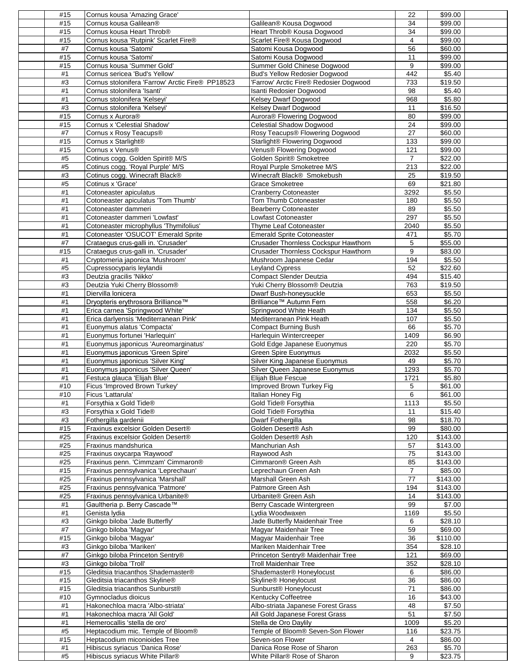| #15      | Cornus kousa 'Amazing Grace'                                       |                                                            | 22               | \$99.00             |  |
|----------|--------------------------------------------------------------------|------------------------------------------------------------|------------------|---------------------|--|
|          |                                                                    |                                                            |                  |                     |  |
| #15      | Cornus kousa Galilean®                                             | Galilean® Kousa Dogwood                                    | 34               | \$99.00             |  |
| #15      | Cornus kousa Heart Throb <sup>®</sup>                              | Heart Throb® Kousa Dogwood                                 | 34               | \$99.00             |  |
| #15      | Cornus kousa 'Rutpink' Scarlet Fire®                               | Scarlet Fire® Kousa Dogwood                                | 4                | \$99.00             |  |
| #7       | Cornus kousa 'Satomi'                                              |                                                            | 56               |                     |  |
|          |                                                                    | Satomi Kousa Dogwood                                       |                  | \$60.00             |  |
| #15      | Cornus kousa 'Satomi'                                              | Satomi Kousa Dogwood                                       | 11               | \$99.00             |  |
| #15      | Cornus kousa 'Summer Gold'                                         | Summer Gold Chinese Dogwood                                | 9                | \$99.00             |  |
| #1       | Cornus sericea 'Bud's Yellow'                                      | Bud's Yellow Redosier Dogwood                              | 442              | \$5.40              |  |
| #3       | Cornus stolonifera 'Farrow' Arctic Fire® PP18523                   | 'Farrow' Arctic Fire® Redosier Dogwood                     |                  |                     |  |
|          |                                                                    |                                                            | 733              | \$19.50             |  |
| #1       | Cornus stolonifera 'Isanti'                                        | Isanti Redosier Dogwood                                    | 98               | \$5.40              |  |
| #1       | Cornus stolonifera 'Kelseyi'                                       | Kelsey Dwarf Dogwood                                       | 968              | \$5.80              |  |
| #3       | Cornus stolonifera 'Kelseyi'                                       | Kelsey Dwarf Dogwood                                       | 11               | \$16.50             |  |
|          | Cornus x Aurora®                                                   |                                                            | 80               |                     |  |
| #15      |                                                                    | Aurora® Flowering Dogwood                                  |                  | \$99.00             |  |
| #15      | Cornus x 'Celestial Shadow'                                        | Celestial Shadow Dogwood                                   | 24               | \$99.00             |  |
| #7       | Cornus x Rosy Teacups®                                             | Rosy Teacups® Flowering Dogwood                            | 27               | \$60.00             |  |
| #15      | Cornus x Starlight®                                                | Starlight® Flowering Dogwood                               | $\overline{133}$ | \$99.00             |  |
|          |                                                                    |                                                            |                  |                     |  |
| #15      | Cornus x Venus®                                                    | Venus® Flowering Dogwood                                   | 121              | \$99.00             |  |
| #5       | Cotinus cogg. Golden Spirit® M/S                                   | Golden Spirit® Smoketree                                   | 7                | \$22.00             |  |
| #5       | Cotinus cogg. 'Royal Purple' M/S                                   | Royal Purple Smoketree M/S                                 | 213              | \$22.00             |  |
| #3       | Cotinus cogg. Winecraft Black®                                     | Winecraft Black® Smokebush                                 | 25               | \$19.50             |  |
|          |                                                                    |                                                            |                  |                     |  |
| #5       | Cotinus x 'Grace'                                                  | <b>Grace Smoketree</b>                                     | 69               | \$21.80             |  |
| #1       | Cotoneaster apiculatus                                             | <b>Cranberry Cotoneaster</b>                               | 3292             | \$5.50              |  |
| #1       | Cotoneaster apiculatus 'Tom Thumb'                                 | Tom Thumb Cotoneaster                                      | 180              | \$5.50              |  |
| #1       | Cotoneaster dammeri                                                | <b>Bearberry Cotoneaster</b>                               | 89               | \$5.50              |  |
|          |                                                                    |                                                            |                  |                     |  |
| #1       | Cotoneaster dammeri 'Lowfast'                                      | Lowfast Cotoneaster                                        | 297              | \$5.50              |  |
| #1       | Cotoneaster microphyllus 'Thymifolius'                             | <b>Thyme Leaf Cotoneaster</b>                              | 2040             | \$5.50              |  |
| #1       | Cotoneaster 'OSUCOT' Emerald Sprite                                | <b>Emerald Sprite Cotoneaster</b>                          | 471              | \$5.70              |  |
| #7       | Crataegus crus-galli in. 'Crusader'                                | Crusader Thornless Cockspur Hawthorn                       | 5                | \$55.00             |  |
|          |                                                                    |                                                            |                  |                     |  |
| #15      | Crataegus crus-galli in. 'Crusader'                                | Crusader Thornless Cockspur Hawthorn                       | 9                | \$83.00             |  |
| #1       | Cryptomeria japonica 'Mushroom'                                    | Mushroom Japanese Cedar                                    | 194              | \$5.50              |  |
| $\#5$    | Cupressocyparis leylandii                                          | <b>Leyland Cypress</b>                                     | 52               | \$22.60             |  |
| #3       | Deutzia gracilis 'Nikko'                                           | <b>Compact Slender Deutzia</b>                             | 494              | $\overline{$}15.40$ |  |
|          |                                                                    |                                                            |                  |                     |  |
| #3       | Deutzia Yuki Cherry Blossom®                                       | Yuki Cherry Blossom® Deutzia                               | 763              | \$19.50             |  |
| #1       | Diervilla lonicera                                                 | Dwarf Bush-honeysuckle                                     | 653              | \$5.50              |  |
| #1       | Dryopteris erythrosora Brilliance™                                 | Brilliance™ Autumn Fern                                    | 558              | \$6.20              |  |
| #1       | Erica carnea 'Springwood White'                                    |                                                            |                  |                     |  |
|          |                                                                    | Springwood White Heath                                     | 134              | \$5.50              |  |
| #1       | Erica darlyensis 'Mediterranean Pink'                              | Mediterranean Pink Heath                                   | 107              | \$5.50              |  |
| #1       | Euonymus alatus 'Compacta'                                         | <b>Compact Burning Bush</b>                                | 66               | \$5.70              |  |
| #1       | Euonymus fortunei 'Harlequin'                                      | Harlequin Wintercreeper                                    | 1409             | \$6.90              |  |
|          |                                                                    |                                                            |                  |                     |  |
| #1       | Euonymus japonicus 'Aureomarginatus'                               | Gold Edge Japanese Euonymus                                | 220              | \$5.70              |  |
| #1       | Euonymus japonicus 'Green Spire'                                   | <b>Green Spire Euonymus</b>                                | 2032             | \$5.50              |  |
| #1       | Euonymus japonicus 'Silver King'                                   | Silver King Japanese Euonymus                              | 49               | \$5.70              |  |
| #1       | Euonymus japonicus 'Silver Queen'                                  | Silver Queen Japanese Euonymus                             | 1293             | \$5.70              |  |
|          |                                                                    |                                                            |                  |                     |  |
| #1       | Festuca glauca 'Elijah Blue'                                       | Elijah Blue Fescue                                         | 1721             | \$5.80              |  |
| #10      | Ficus 'Improved Brown Turkey'                                      | Improved Brown Turkey Fig                                  | 5                | \$61.00             |  |
| #10      | Ficus 'Lattarula'                                                  | Italian Honey Fig                                          | 6                | \$61.00             |  |
| $\#1$    | Forsythia x Gold Tide®                                             | Gold Tide® Forsythia                                       | 1113             | \$5.50              |  |
|          |                                                                    |                                                            |                  |                     |  |
| #3       | Forsythia x Gold Tide®                                             | Gold Tide® Forsythia                                       | 11               | $\overline{$}15.40$ |  |
| #3       | Fothergilla gardenii                                               | Dwarf Fothergilla                                          | 98               | \$18.70             |  |
| #15      | Fraxinus excelsior Golden Desert®                                  | Golden Desert® Ash                                         | 99               | \$80.00             |  |
| #25      | Fraxinus excelsior Golden Desert®                                  | Golden Desert® Ash                                         | 120              | \$143.00            |  |
|          |                                                                    |                                                            |                  |                     |  |
| #25      | Fraxinus mandshurica                                               | Manchurian Ash                                             | 57               | \$143.00            |  |
| #25      | Fraxinus oxycarpa 'Raywood'                                        | Raywood Ash                                                | 75               | \$143.00            |  |
| #25      | Fraxinus penn. 'Cimmzam' Cimmaron®                                 | Cimmaron <sup>®</sup> Green Ash                            | 85               | \$143.00            |  |
| #15      | Fraxinus pennsylvanica 'Leprechaun'                                | Leprechaun Green Ash                                       | $\overline{7}$   | \$85.00             |  |
|          |                                                                    |                                                            |                  |                     |  |
| #25      | Fraxinus pennsylvanica 'Marshall'                                  | Marshall Green Ash                                         | $77 \,$          | \$143.00            |  |
| #25      | Fraxinus pennsylvanica 'Patmore'                                   | Patmore Green Ash                                          | 194              | \$143.00            |  |
| #25      | Fraxinus pennsylvanica Urbanite®                                   | Urbanite® Green Ash                                        | 14               | \$143.00            |  |
| $\#1$    | Gaultheria p. Berry Cascade™                                       | Berry Cascade Wintergreen                                  | 99               | \$7.00              |  |
| #1       | Genista Iydia                                                      | Lydia Woodwaxen                                            | 1169             | \$5.50              |  |
|          |                                                                    |                                                            |                  |                     |  |
| #3       | Ginkgo biloba 'Jade Butterfly'                                     | Jade Butterfly Maidenhair Tree                             | 6                | \$28.10             |  |
| #7       | Ginkgo biloba 'Magyar'                                             | Magyar Maidenhair Tree                                     | 59               | \$69.00             |  |
| #15      | Ginkgo biloba 'Magyar'                                             | Magyar Maidenhair Tree                                     | 36               | \$110.00            |  |
|          |                                                                    |                                                            |                  |                     |  |
| #3       | Ginkgo biloba 'Mariken'                                            | Mariken Maidenhair Tree                                    | 354              | \$28.10             |  |
| #7       | Ginkgo biloba Princeton Sentry®                                    | Princeton Sentry® Maidenhair Tree                          | 121              | \$69.00             |  |
| #3       | Ginkgo biloba 'Troll'                                              | <b>Troll Maidenhair Tree</b>                               | 352              | \$28.10             |  |
| #15      | Gleditsia triacanthos Shademaster®                                 | Shademaster® Honeylocust                                   | 6                | \$86.00             |  |
|          |                                                                    |                                                            |                  |                     |  |
| #15      | Gleditsia triacanthos Skyline®                                     | Skyline® Honeylocust                                       | 36               | \$86.00             |  |
| #15      | Gleditsia triacanthos Sunburst®                                    | Sunburst <sup>®</sup> Honeylocust                          | $\overline{71}$  | \$86.00             |  |
| #10      | Gymnocladus dioicus                                                | Kentucky Coffeetree                                        | 16               | \$43.00             |  |
| #1       | Hakonechloa macra 'Albo-striata'                                   | Albo-striata Japanese Forest Grass                         | 48               | \$7.50              |  |
|          |                                                                    |                                                            |                  |                     |  |
| #1       | Hakonechloa macra 'All Gold'                                       | All Gold Japanese Forest Grass                             | 51               | \$7.50              |  |
|          |                                                                    | Stella de Oro Daylily                                      | 1009             | \$5.20              |  |
| #1       | Hemerocallis 'stella de oro'                                       |                                                            |                  |                     |  |
| #5       | Heptacodium mic. Temple of Bloom®                                  | Temple of Bloom® Seven-Son Flower                          | 116              | \$23.75             |  |
|          |                                                                    |                                                            |                  |                     |  |
| #15      | Heptacodium miconioides Tree                                       | Seven-son Flower                                           | 4                | \$86.00             |  |
| #1<br>#5 | Hibiscus syriacus 'Danica Rose'<br>Hibiscus syriacus White Pillar® | Danica Rose Rose of Sharon<br>White Pillar® Rose of Sharon | 263<br>9         | \$5.70<br>\$23.75   |  |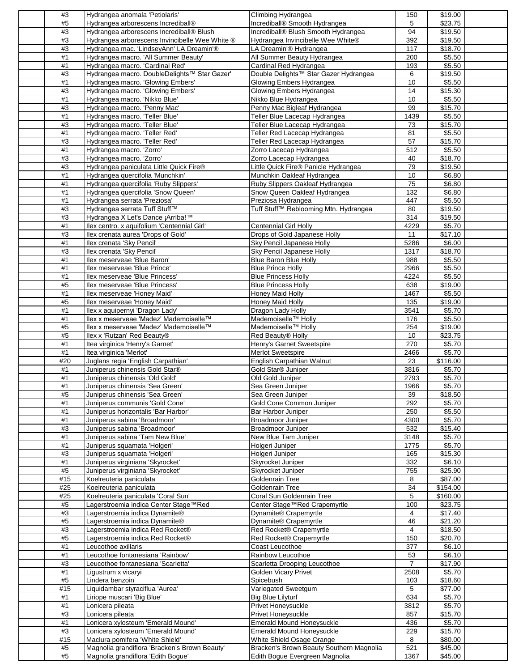| #3    | Hydrangea anomala 'Petiolaris'                 | Climbing Hydrangea                       | 150              | \$19.00              |  |
|-------|------------------------------------------------|------------------------------------------|------------------|----------------------|--|
| #5    | Hydrangea arborescens Incrediball®             | Incrediball® Smooth Hydrangea            | 5                | \$23.75              |  |
| #3    | Hydrangea arborescens Incrediball® Blush       | Incrediball® Blush Smooth Hydrangea      | 94               | \$19.50              |  |
| #3    |                                                |                                          | 392              | \$19.50              |  |
|       | Hydrangea arborescens Invincibelle Wee White ® | Hydrangea Invincibelle Wee White®        |                  |                      |  |
| #3    | Hydrangea mac. 'LindseyAnn' LA Dreamin'®       | LA Dreamin'® Hydrangea                   | 117              | \$18.70              |  |
| #1    | Hydrangea macro. 'All Summer Beauty'           | All Summer Beauty Hydrangea              | 200              | \$5.50               |  |
| #1    | Hydrangea macro. 'Cardinal Red'                | Cardinal Red Hydrangea                   | 193              | \$5.50               |  |
| #3    | Hydrangea macro. DoubleDelights™ Star Gazer'   | Double Delights™ Star Gazer Hydrangea    | 6                | \$19.50              |  |
| #1    | Hydrangea macro. 'Glowing Embers'              | Glowing Embers Hydrangea                 | 10               | \$5.50               |  |
| #3    | Hydrangea macro. 'Glowing Embers'              | Glowing Embers Hydrangea                 | 14               | \$15.30              |  |
| #1    | Hydrangea macro. 'Nikko Blue'                  | Nikko Blue Hydrangea                     | 10               | \$5.50               |  |
| #3    | Hydrangea macro. 'Penny Mac'                   | Penny Mac Bigleaf Hydrangea              | 99               | \$15.70              |  |
| #1    | Hydrangea macro. 'Teller Blue'                 | Teller Blue Lacecap Hydrangea            | 1439             | \$5.50               |  |
|       |                                                |                                          |                  |                      |  |
| #3    | Hydrangea macro. 'Teller Blue'                 | Teller Blue Lacecap Hydrangea            | 73               | \$15.70              |  |
| #1    | Hydrangea macro. 'Teller Red'                  | Teller Red Lacecap Hydrangea             | 81               | \$5.50               |  |
| #3    | Hydrangea macro. 'Teller Red'                  | Teller Red Lacecap Hydrangea             | $\overline{57}$  | \$15.70              |  |
| #1    | Hydrangea macro. 'Zorro'                       | Zorro Lacecap Hydrangea                  | 512              | \$5.50               |  |
| #3    | Hydrangea macro. 'Zorro'                       | Zorro Lacecap Hydrangea                  | 40               | \$18.70              |  |
| #3    | Hydrangea paniculata Little Quick Fire®        | Little Quick Fire® Panicle Hydrangea     | 79               | \$19.50              |  |
| #1    | Hydrangea quercifolia 'Munchkin'               | Munchkin Oakleaf Hydrangea               | 10               | \$6.80               |  |
| #1    | Hydrangea quercifolia 'Ruby Slippers'          | Ruby Slippers Oakleaf Hydrangea          | 75               | \$6.80               |  |
| #1    | Hydrangea quercifolia 'Snow Queen'             | Snow Queen Oakleaf Hydrangea             | 132              | \$6.80               |  |
|       |                                                |                                          |                  |                      |  |
| #1    | Hydrangea serrata 'Preziosa'                   | Preziosa Hydrangea                       | 447              | \$5.50               |  |
| #3    | Hydrangea serrata Tuff Stuff™                  | Tuff Stuff™ Reblooming Mtn. Hydrangea    | 80               | \$19.50              |  |
| #3    | Hydrangea X Let's Dance ¡ Arriba!™             |                                          | 314              | \$19.50              |  |
| #1    | Ilex centro. x aquifolium 'Centennial Girl'    | <b>Centennial Girl Holly</b>             | 4229             | \$5.70               |  |
| #3    | Ilex crenata aurea 'Drops of Gold'             | Drops of Gold Japanese Holly             | 11               | \$17.10              |  |
| #1    | Ilex crenata 'Sky Pencil'                      | Sky Pencil Japanese Holly                | 5286             | \$6.00               |  |
| #3    | Ilex crenata 'Sky Pencil'                      | Sky Pencil Japanese Holly                | 1317             | \$18.70              |  |
| #1    | llex meserveae 'Blue Baron'                    | <b>Blue Baron Blue Holly</b>             | 988              | \$5.50               |  |
| #1    | llex meserveae 'Blue Prince'                   | <b>Blue Prince Holly</b>                 | 2966             | \$5.50               |  |
| #1    | llex meserveae 'Blue Princess'                 | <b>Blue Princess Holly</b>               | 4224             | \$5.50               |  |
|       |                                                |                                          |                  |                      |  |
| #5    | llex meserveae 'Blue Princess'                 | <b>Blue Princess Holly</b>               | 638              | \$19.00              |  |
| #1    | Ilex meserveae 'Honey Maid'                    | <b>Honey Maid Holly</b>                  | 1467             | \$5.50               |  |
| $\#5$ | Ilex meserveae 'Honey Maid'                    | Honey Maid Holly                         | 135              | \$19.00              |  |
| #1    | Ilex x aquipernyi 'Dragon Lady'                | Dragon Lady Holly                        | 3541             | \$5.70               |  |
| #1    | Ilex x meserveae 'Madez' Mademoiselle™         | Mademoiselle™ Holly                      | 176              | \$5.50               |  |
| $\#5$ | Ilex x meserveae 'Madez' Mademoiselle™         | Mademoiselle™ Holly                      | 254              | \$19.00              |  |
| #5    | llex x 'Rutzan' Red Beauty®                    | Red Beauty® Holly                        | 10               | \$23.75              |  |
| #1    | Itea virginica 'Henry's Garnet'                | Henry's Garnet Sweetspire                | 270              | \$5.70               |  |
| #1    | Itea virginica 'Merlot'                        | <b>Merlot Sweetspire</b>                 | 2466             | \$5.70               |  |
|       |                                                |                                          |                  |                      |  |
| #20   | Juglans regia 'English Carpathian'             | English Carpathian Walnut                | 23               | $\overline{$}116.00$ |  |
| #1    | Juniperus chinensis Gold Star®                 | Gold Star® Juniper                       | 3816             | \$5.70               |  |
| #1    | Juniperus chinensis 'Old Gold'                 | Old Gold Juniper                         | 2793             | \$5.70               |  |
| #1    | Juniperus chinensis 'Sea Green'                | Sea Green Juniper                        | 1966             | \$5.70               |  |
| #5    | Juniperus chinensis 'Sea Green'                | Sea Green Juniper                        | 39               | \$18.50              |  |
| #1    | Juniperus communis 'Gold Cone'                 | Gold Cone Common Juniper                 | 292              | \$5.70               |  |
| #1    | Juniperus horizontalis 'Bar Harbor'            | Bar Harbor Juniper                       | 250              | \$5.50               |  |
| $\#1$ | Juniperus sabina 'Broadmoor'                   | <b>Broadmoor Juniper</b>                 | 4300             | \$5.70               |  |
| #3    | Juniperus sabina 'Broadmoor'                   | Broadmoor Juniper                        | 532              | \$15.40              |  |
|       |                                                |                                          |                  |                      |  |
| #1    | Juniperus sabina 'Tam New Blue'                | New Blue Tam Juniper                     | 3148             | \$5.70               |  |
| #1    | Juniperus squamata 'Holgeri'                   | Holgeri Juniper                          | 1775             | \$5.70               |  |
| #3    | Juniperus squamata 'Holgeri'                   | Holgeri Juniper                          | 165              | \$15.30              |  |
| #1    | Juniperus virginiana 'Skyrocket'               | Skyrocket Juniper                        | 332              | \$6.10               |  |
| #5    | Juniperus virginiana 'Skyrocket'               | Skyrocket Juniper                        | 755              | \$25.90              |  |
| #15   | Koelreuteria paniculata                        | Goldenrain Tree                          | 8                | \$87.00              |  |
| #25   | Koelreuteria paniculata                        | Goldenrain Tree                          | 34               | \$154.00             |  |
| #25   | Koelreuteria paniculata 'Coral Sun'            | Coral Sun Goldenrain Tree                | 5                | \$160.00             |  |
| #5    | Lagerstroemia indica Center Stage™Red          | Center Stage™Red Crapemyrtle             | 100              | \$23.75              |  |
| #3    | Lagerstroemia indica Dynamite®                 | Dynamite® Crapemyrtle                    | 4                | $\sqrt{$17.40}$      |  |
|       |                                                |                                          |                  |                      |  |
| $\#5$ | Lagerstroemia indica Dynamite®                 | Dynamite® Crapemyrtle                    | 46               | \$21.20              |  |
| #3    | Lagerstroemia indica Red Rocket®               | Red Rocket® Crapemyrtle                  | 4                | \$18.50              |  |
| $\#5$ | Lagerstroemia indica Red Rocket®               | Red Rocket® Crapemyrtle                  | 150              | \$20.70              |  |
| #1    | Leucothoe axillaris                            | Coast Leucothoe                          | $\overline{377}$ | \$6.10               |  |
| #1    | Leucothoe fontanesiana 'Rainbow'               | Rainbow Leucothoe                        | 53               | \$6.10               |  |
| #3    | Leucothoe fontanesiana 'Scarletta'             | Scarletta Drooping Leucothoe             | $\overline{7}$   | \$17.90              |  |
| #1    | Ligustrum x vicaryi                            | <b>Golden Vicary Privet</b>              | 2508             | \$5.70               |  |
| #5    | Lindera benzoin                                | Spicebush                                | 103              | \$18.60              |  |
| #15   | Liquidambar styraciflua 'Aurea'                |                                          | 5                | \$77.00              |  |
|       |                                                | Variegated Sweetgum                      |                  |                      |  |
| #1    | Liriope muscari 'Big Blue'                     | <b>Big Blue Lilyturf</b>                 | 634              | \$5.70               |  |
| #1    | Lonicera pileata                               | Privet Honeysuckle                       | 3812             | \$5.70               |  |
| #3    | Lonicera pileata                               | Privet Honeysuckle                       | 857              | \$15.70              |  |
| $\#1$ | Lonicera xylosteum 'Emerald Mound'             | <b>Emerald Mound Honeysuckle</b>         | 436              | \$5.70               |  |
| #3    | Lonicera xylosteum 'Emerald Mound'             | <b>Emerald Mound Honeysuckle</b>         | 229              | \$15.70              |  |
| #15   | Maclura pomifera 'White Shield'                | White Shield Osage Orange                | 8                | \$80.00              |  |
| #5    | Magnolia grandiflora 'Bracken's Brown Beauty'  | Bracken's Brown Beauty Southern Magnolia | 521              | \$45.00              |  |
| #5    | Magnolia grandiflora 'Edith Bogue'             | Edith Bogue Evergreen Magnolia           | 1367             | \$45.00              |  |
|       |                                                |                                          |                  |                      |  |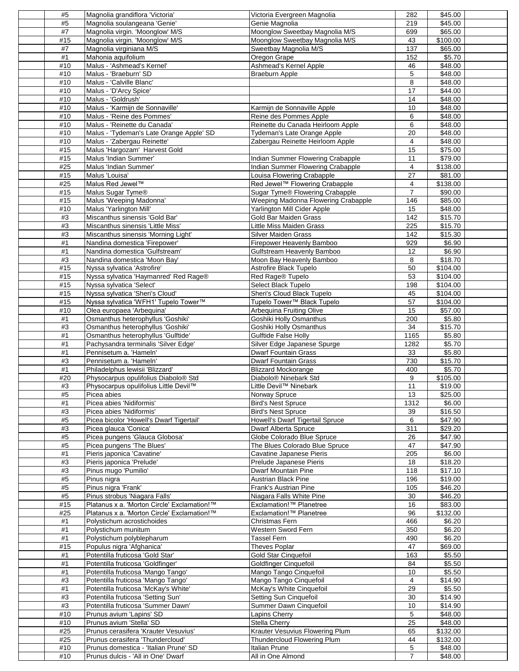| #5  | Magnolia grandiflora 'Victoria'             | Victoria Evergreen Magnolia         | 282            | \$45.00          |
|-----|---------------------------------------------|-------------------------------------|----------------|------------------|
| #5  | Magnolia soulangeana 'Genie'                | Genie Magnolia                      | 219            | \$45.00          |
| #7  | Magnolia virgin. 'Moonglow' M/S             | Moonglow Sweetbay Magnolia M/S      | 699            | \$65.00          |
| #15 | Magnolia virgin. 'Moonglow' M/S             | Moonglow Sweetbay Magnolia M/S      | 43             | \$100.00         |
| #7  | Magnolia virginiana M/S                     | Sweetbay Magnolia M/S               | 137            | \$65.00          |
| #1  | Mahonia aquifolium                          | Oregon Grape                        | 152            | \$5.70           |
| #10 | Malus - 'Ashmead's Kernel'                  | Ashmead's Kernel Apple              | 46             | \$48.00          |
| #10 | Malus - 'Braeburn' SD                       | <b>Braeburn Apple</b>               | 5              | \$48.00          |
| #10 | Malus - 'Calville Blanc'                    |                                     | 8              | \$48.00          |
| #10 | Malus - 'D'Arcy Spice'                      |                                     | 17             | \$44.00          |
| #10 | Malus - 'Goldrush'                          |                                     | 14             | \$48.00          |
| #10 | Malus - 'Karmijn de Sonnaville'             | Karmijn de Sonnaville Apple         | 10             | \$48.00          |
| #10 | Malus - 'Reine des Pommes'                  | Reine des Pommes Apple              | 6              | \$48.00          |
| #10 | Malus - 'Reinette du Canada'                | Reinette du Canada Heirloom Apple   | 6              | \$48.00          |
| #10 | Malus - 'Tydeman's Late Orange Apple' SD    | Tydeman's Late Orange Apple         | 20             | \$48.00          |
| #10 | Malus - 'Zabergau Reinette'                 | Zabergau Reinette Heirloom Apple    | 4              | \$48.00          |
| #15 | Malus 'Hargozam' Harvest Gold               |                                     | 15             | \$75.00          |
| #15 | Malus 'Indian Summer'                       | Indian Summer Flowering Crabapple   | 11             | \$79.00          |
|     | Malus 'Indian Summer'                       |                                     | 4              | \$138.00         |
| #25 |                                             | Indian Summer Flowering Crabapple   |                |                  |
| #15 | Malus 'Louisa'                              | Louisa Flowering Crabapple          | 27             | \$81.00          |
| #25 | Malus Red Jewel™                            | Red Jewel™ Flowering Crabapple      | 4              | \$138.00         |
| #15 | Malus Sugar Tyme®                           | Sugar Tyme® Flowering Crabapple     | $\overline{7}$ | \$90.00          |
| #15 | Malus 'Weeping Madonna'                     | Weeping Madonna Flowering Crabapple | 146            | \$85.00          |
| #10 | Malus 'Yarlington Mill'                     | Yarlington Mill Cider Apple         | 15             | \$48.00          |
| #3  | Miscanthus sinensis 'Gold Bar'              | Gold Bar Maiden Grass               | 142            | \$15.70          |
| #3  | Miscanthus sinensis 'Little Miss'           | Little Miss Maiden Grass            | 225            | \$15.70          |
| #3  | Miscanthus sinensis 'Morning Light'         | Silver Maiden Grass                 | 142            | \$15.30          |
| #1  | Nandina domestica 'Firepower'               | Firepower Heavenly Bamboo           | 929            | \$6.90           |
| #1  | Nandina domestica 'Gulfstream'              | Gulfstream Heavenly Bamboo          | 12             | \$6.90           |
| #3  | Nandina domestica 'Moon Bay'                | Moon Bay Heavenly Bamboo            | 8              | \$18.70          |
| #15 | Nyssa sylvatica 'Astrofire'                 | Astrofire Black Tupelo              | 50             | $\sqrt{$104.00}$ |
| #15 | Nyssa sylvatica 'Haymanred' Red Rage®       | Red Rage® Tupelo                    | 53             | \$104.00         |
| #15 | Nyssa sylvatica 'Select'                    | Select Black Tupelo                 | 198            | \$104.00         |
| #15 | Nyssa sylvatica 'Sheri's Cloud'             | Sheri's Cloud Black Tupelo          | 45             | \$104.00         |
|     |                                             |                                     |                |                  |
| #15 | Nyssa sylvatica 'WFH1' Tupelo Tower™        | Tupelo Tower™ Black Tupelo          | 57             | \$104.00         |
| #10 | Olea europaea 'Arbequina'                   | Arbequina Fruiting Olive            | 15             | \$57.00          |
| #1  | Osmanthus heterophyllus 'Goshiki'           | Goshiki Holly Osmanthus             | 200            | \$5.80           |
| #3  | Osmanthus heterophyllus 'Goshiki'           | Goshiki Holly Osmanthus             | 34             | \$15.70          |
|     |                                             |                                     |                |                  |
| #1  | Osmanthus heterophyllus 'Gulftide'          | <b>Gulftide False Holly</b>         | 1165           | \$5.80           |
| #1  | Pachysandra terminalis 'Silver Edge'        | Silver Edge Japanese Spurge         | 1282           | \$5.70           |
| #1  | Pennisetum a. 'Hameln'                      | <b>Dwarf Fountain Grass</b>         | 33             | \$5.80           |
| #3  | Pennisetum a. 'Hameln'                      | <b>Dwarf Fountain Grass</b>         | 730            | \$15.70          |
| #1  | Philadelphus lewisii 'Blizzard'             | <b>Blizzard Mockorange</b>          | 400            | \$5.70           |
|     |                                             | Diabolo <sup>®</sup> Ninebark Std   |                |                  |
| #20 | Physocarpus opulifolius Diabolo® Std        |                                     | 9              | \$105.00         |
| #3  | Physocarpus opulifolius Little Devil™       | Little Devil™ Ninebark              | 11             | \$19.00          |
| #5  | Picea abies                                 | Norway Spruce                       | 13             | \$25.00          |
| #1  | Picea abies 'Nidiformis'                    | <b>Bird's Nest Spruce</b>           | 1312           | \$6.00           |
| #3  | Picea abies 'Nidiformis'                    | <b>Bird's Nest Spruce</b>           | 39             | \$16.50          |
| #5  | Picea bicolor 'Howell's Dwarf Tigertail'    | Howell's Dwarf Tigertail Spruce     | 6              | \$47.90          |
| #3  | Picea glauca 'Conica'                       | <b>Dwarf Alberta Spruce</b>         | 311            | \$29.20          |
| #5  | Picea pungens 'Glauca Globosa'              | Globe Colorado Blue Spruce          | 26             | \$47.90          |
| #5  | Picea pungens 'The Blues'                   | The Blues Colorado Blue Spruce      | 47             | \$47.90          |
| #1  | Pieris japonica 'Cavatine'                  | Cavatine Japanese Pieris            | 205            | \$6.00           |
| #3  | Pieris japonica 'Prelude'                   | Prelude Japanese Pieris             | 18             | \$18.20          |
| #3  | Pinus mugo 'Pumilio'                        | Dwarf Mountain Pine                 | 118            | $\sqrt{$17.10}$  |
| #5  | Pinus nigra                                 | <b>Austrian Black Pine</b>          | 196            | \$19.00          |
| #5  | Pinus nigra 'Frank'                         | Frank's Austrian Pine               | 105            | \$46.20          |
| #5  | Pinus strobus 'Niagara Falls'               | Niagara Falls White Pine            | 30             | \$46.20          |
| #15 | Platanus x a. 'Morton Circle' Exclamation!™ | Exclamation!™ Planetree             | 16             | \$83.00          |
| #25 | Platanus x a. 'Morton Circle' Exclamation!™ | Exclamation!™ Planetree             | 96             | \$132.00         |
| #1  | Polystichum acrostichoides                  | Christmas Fern                      | 466            | \$6.20           |
| #1  | Polystichum munitum                         | Western Sword Fern                  | 350            | \$6.20           |
|     |                                             |                                     | 490            |                  |
| #1  | Polystichum polyblepharum                   | <b>Tassel Fern</b>                  |                | \$6.20           |
| #15 | Populus nigra 'Afghanica'                   | Theves Poplar                       | 47             | \$69.00          |
| #1  | Potentilla fruticosa 'Gold Star'            | Gold Star Cinquefoil                | 163            | \$5.50           |
| #1  | Potentilla fruticosa 'Goldfinger'           | <b>Goldfinger Cinquefoil</b>        | 84             | \$5.50           |
| #1  | Potentilla fruticosa 'Mango Tango'          | Mango Tango Cinquefoil              | 10             | \$5.50           |
| #3  | Potentilla fruticosa 'Mango Tango'          | Mango Tango Cinquefoil              | 4              | \$14.90          |
| #1  | Potentilla fruticosa 'McKay's White'        | McKay's White Cinquefoil            | 29             | \$5.50           |
| #3  | Potentilla fruticosa 'Setting Sun'          | Setting Sun Cinquefoil              | 30             | \$14.90          |
| #3  | Potentilla fruticosa 'Summer Dawn'          | Summer Dawn Cinquefoil              | 10             | \$14.90          |
| #10 | Prunus avium 'Lapins' SD                    | Lapins Cherry                       | 5              | \$48.00          |
| #10 | Prunus avium 'Stella' SD                    | Stella Cherry                       | 25             | \$48.00          |
| #25 | Prunus cerasifera 'Krauter Vesuvius'        | Krauter Vesuvius Flowering Plum     | 65             | \$132.00         |
| #25 | Prunus cerasifera 'Thundercloud'            | Thundercloud Flowering Plum         | 44             | \$132.00         |
| #10 | Prunus domestica - 'Italian Prune' SD       | Italian Prune                       | 5              | \$48.00          |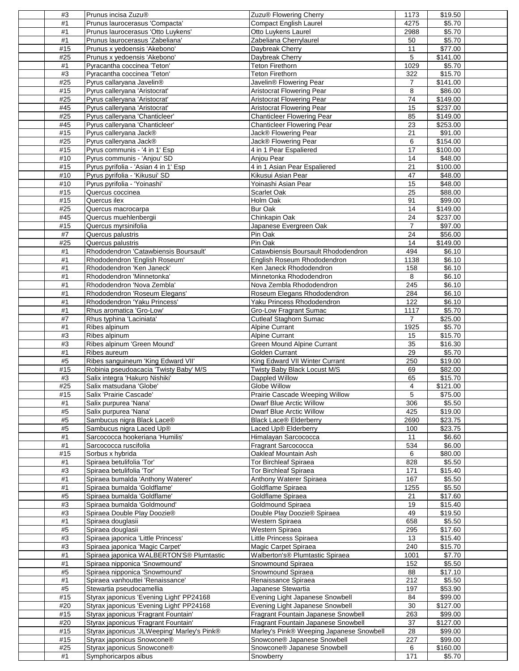| #3         | Prunus incisa Zuzu®                                                   | Zuzu <sup>®</sup> Flowering Cherry                     | 1173                    | \$19.50             |
|------------|-----------------------------------------------------------------------|--------------------------------------------------------|-------------------------|---------------------|
| #1         | Prunus laurocerasus 'Compacta'                                        | Compact English Laurel                                 | 4275                    | \$5.70              |
| #1         | Prunus laurocerasus 'Otto Luykens'                                    | Otto Luykens Laurel                                    | 2988                    | \$5.70              |
| #1         | Prunus laurocerasus 'Zabeliana'                                       | Zabeliana Cherrylaurel                                 | 50                      | \$5.70              |
| #15        | Prunus x yedoensis 'Akebono'                                          | Daybreak Cherry                                        | 11                      | \$77.00             |
| #25        | Prunus x yedoensis 'Akebono'                                          | Daybreak Cherry                                        | 5                       | \$141.00            |
| #1         | Pyracantha coccinea 'Teton'                                           | Teton Firethorn                                        | 1029                    | \$5.70              |
| #3         | Pyracantha coccinea 'Teton'                                           | <b>Teton Firethorn</b>                                 | 322                     | \$15.70             |
| #25        | Pyrus callaryana Javelin®                                             | Javelin® Flowering Pear                                | 7                       | $\sqrt{$141.00}$    |
| #15<br>#25 | Pyrus calleryana 'Aristocrat'<br>Pyrus calleryana 'Aristocrat'        | Aristocrat Flowering Pear<br>Aristocrat Flowering Pear | 8<br>74                 | \$86.00<br>\$149.00 |
| #45        | Pyrus calleryana 'Aristocrat'                                         | Aristocrat Flowering Pear                              | 15                      | \$237.00            |
| #25        | Pyrus calleryana 'Chanticleer'                                        | Chanticleer Flowering Pear                             | 85                      | \$149.00            |
| #45        | Pyrus calleryana 'Chanticleer'                                        | <b>Chanticleer Flowering Pear</b>                      | 23                      | \$253.00            |
| #15        | Pyrus calleryana Jack®                                                | Jack® Flowering Pear                                   | 21                      | \$91.00             |
| #25        | Pyrus calleryana Jack®                                                | Jack® Flowering Pear                                   | 6                       | \$154.00            |
| #15        | Pyrus communis - '4 in 1' Esp                                         | 4 in 1 Pear Espaliered                                 | 17                      | \$100.00            |
| #10        | Pyrus communis - 'Anjou' SD                                           | Anjou Pear                                             | 14                      | \$48.00             |
| #15        | Pyrus pyrifolia - 'Asian 4 in 1' Esp                                  | 4 in 1 Asian Pear Espaliered                           | 21                      | \$100.00            |
| #10        | Pyrus pyrifolia - 'Kikusui' SD                                        | Kikusui Asian Pear                                     | 47                      | \$48.00             |
| #10        | Pyrus pyrifolia - 'Yoinashi'                                          | Yoinashi Asian Pear                                    | 15                      | \$48.00             |
| #15        | Quercus coccinea                                                      | Scarlet Oak                                            | 25                      | \$88.00             |
| #15        | Quercus ilex                                                          | Holm Oak                                               | 91                      | \$99.00             |
| #25        | Quercus macrocarpa                                                    | <b>Bur Oak</b>                                         | 14                      | \$149.00            |
| #45        | Quercus muehlenbergii                                                 | Chinkapin Oak                                          | 24                      | \$237.00            |
| #15        | Quercus myrsinifolia                                                  | Japanese Evergreen Oak                                 | $\overline{7}$          | \$97.00             |
| #7         | Quercus palustris                                                     | Pin Oak                                                | 24                      | \$56.00             |
| #25        | Quercus palustris                                                     | Pin Oak                                                | 14                      | \$149.00            |
| #1         | Rhododendron 'Catawbiensis Boursault'                                 | Catawbiensis Boursault Rhododendron                    | 494                     | \$6.10              |
| #1         | Rhododendron 'English Roseum'                                         | English Roseum Rhododendron                            | 1138                    | \$6.10              |
| #1         | Rhododendron 'Ken Janeck'                                             | Ken Janeck Rhododendron                                | 158                     | \$6.10              |
| #1         | Rhododendron 'Minnetonka'                                             | Minnetonka Rhododendron                                | 8                       | \$6.10              |
| #1         | Rhododendron 'Nova Zembla'                                            | Nova Zembla Rhododendron                               | 245                     | \$6.10              |
| #1         | Rhododendron 'Roseum Elegans'                                         | Roseum Elegans Rhododendron                            | 284                     | \$6.10              |
| $\#1$      | Rhododendron 'Yaku Princess'                                          | Yaku Princess Rhododendron                             | 122                     | \$6.10              |
| #1         | Rhus aromatica 'Gro-Low'                                              | Gro-Low Fragrant Sumac                                 | 1117                    | \$5.70              |
| #7         | Rhus typhina 'Laciniata'                                              | <b>Cutleaf Staghorn Sumac</b>                          | $\overline{7}$          | \$25.00             |
| $\#1$      | Ribes alpinum                                                         | <b>Alpine Currant</b>                                  | 1925                    | \$5.70              |
| #3         | Ribes alpinum                                                         | <b>Alpine Currant</b>                                  | 15                      | \$15.70             |
| #3         | Ribes alpinum 'Green Mound'                                           | <b>Green Mound Alpine Currant</b><br>Golden Currant    | 35                      | \$16.30             |
| #1<br>#5   | Ribes aureum<br>Ribes sanguineum 'King Edward VII'                    | King Edward VII Winter Currant                         | 29<br>250               | \$5.70<br>\$19.00   |
| #15        | Robinia pseudoacacia 'Twisty Baby' M/S                                | Twisty Baby Black Locust M/S                           | 69                      | \$82.00             |
| #3         | Salix integra 'Hakuro Nishiki'                                        | Dappled Willow                                         | 65                      | \$15.70             |
| #25        | Salix matsudana 'Globe'                                               | Globe Willow                                           | $\overline{\mathbf{4}}$ | \$121.00            |
| #15        | Salix 'Prairie Cascade'                                               | Prairie Cascade Weeping Willow                         | 5                       | \$75.00             |
| #1         | Salix purpurea 'Nana'                                                 | Dwarf Blue Arctic Willow                               | 306                     | \$5.50              |
| #5         | Salix purpurea 'Nana'                                                 | Dwarf Blue Arctic Willow                               | 425                     | \$19.00             |
| #5         | Sambucus nigra Black Lace®                                            | <b>Black Lace® Elderberry</b>                          | 2690                    | \$23.75             |
| #5         | Sambucus nigra Laced Up®                                              | Laced Up® Elderberry                                   | 100                     | \$23.75             |
| #1         | Sarcococca hookeriana 'Humilis'                                       | Himalayan Sarcococca                                   | 11                      | \$6.60              |
| #1         | Sarcococca ruscifolia                                                 | Fragrant Sarcococca                                    | 534                     | \$6.00              |
| #15        | Sorbus x hybrida                                                      | Oakleaf Mountain Ash                                   | 6                       | \$80.00             |
| #1         | Spiraea betulifolia 'Tor'                                             | <b>Tor Birchleaf Spiraea</b>                           | 828                     | \$5.50              |
| #3         | Spiraea betulifolia 'Tor'                                             | <b>Tor Birchleaf Spiraea</b>                           | 171                     | \$15.40             |
| #1         | Spiraea bumalda 'Anthony Waterer'                                     | Anthony Waterer Spiraea                                | 167                     | \$5.50              |
| #1         | Spiraea bumalda 'Goldflame'                                           | Goldflame Spiraea                                      | 1255                    | \$5.50              |
| #5         | Spiraea bumalda 'Goldflame'                                           | Goldflame Spiraea                                      | 21                      | \$17.60             |
| #3         | Spiraea bumalda 'Goldmound'                                           | Goldmound Spiraea                                      | 19                      | \$15.40             |
| #3         | Spiraea Double Play Doozie®                                           | Double Play Doozie® Spiraea                            | 49                      | \$19.50             |
| #1         | Spiraea douglasii                                                     | Western Spiraea                                        | 658                     | \$5.50              |
| #5         | Spiraea douglasii                                                     | Western Spiraea                                        | 295                     | \$17.60             |
| #3<br>#3   | Spiraea japonica 'Little Princess'<br>Spiraea japonica 'Magic Carpet' | Little Princess Spiraea<br>Magic Carpet Spiraea        | 13<br>240               | \$15.40<br>\$15.70  |
| #1         | Spiraea japonica WALBERTON'S® Plumtastic                              | Walberton's® Plumtastic Spiraea                        | 1001                    | \$7.70              |
| #1         | Spiraea nipponica 'Snowmound'                                         | Snowmound Spiraea                                      | 152                     | \$5.50              |
| #5         | Spiraea nipponica 'Snowmound'                                         | Snowmound Spiraea                                      | 88                      | \$17.10             |
| #1         | Spiraea vanhouttei 'Renaissance'                                      | Renaissance Spiraea                                    | 212                     | \$5.50              |
| #5         | Stewartia pseudocamellia                                              | Japanese Stewartia                                     | 197                     | \$53.90             |
| #15        | Styrax japonicus 'Evening Light' PP24168                              | Evening Light Japanese Snowbell                        | 84                      | \$99.00             |
| #20        | Styrax japonicus 'Evening Light' PP24168                              | Evening Light Japanese Snowbell                        | 30                      | \$127.00            |
| #15        | Styrax japonicus 'Fragrant Fountain'                                  | Fragrant Fountain Japanese Snowbell                    | 263                     | \$99.00             |
| #20        | Styrax japonicus 'Fragrant Fountain'                                  | Fragrant Fountain Japanese Snowbell                    | 37                      | \$127.00            |
| #15        | Styrax japonicus 'JLWeeping' Marley's Pink®                           | Marley's Pink® Weeping Japanese Snowbell               | 28                      | \$99.00             |
|            |                                                                       |                                                        |                         |                     |
| #15        | Styrax japonicus Snowcone®                                            | Snowcone® Japanese Snowbell                            | 227                     | \$99.00             |
| #25<br>#1  | Styrax japonicus Snowcone®<br>Symphoricarpos albus                    | Snowcone® Japanese Snowbell<br>Snowberry               | 6<br>171                | \$160.00<br>\$5.70  |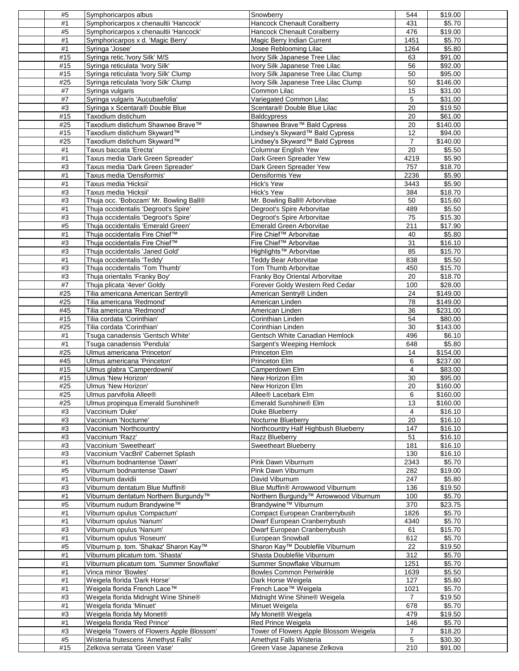| #5          | Symphoricarpos albus                                                     | Snowberry                                                              | 544                   | \$19.00              |  |
|-------------|--------------------------------------------------------------------------|------------------------------------------------------------------------|-----------------------|----------------------|--|
| #1          | Symphoricarpos x chenaultii 'Hancock'                                    | <b>Hancock Chenault Coralberry</b>                                     | 431                   | \$5.70               |  |
| #5          | Symphoricarpos x chenaultii 'Hancock'                                    | <b>Hancock Chenault Coralberry</b>                                     | 476                   | \$19.00              |  |
| #1          | Symphoricarpos x d. 'Magic Berry'                                        | Magic Berry Indian Current                                             | 1451                  | \$5.70               |  |
| #1          | Syringa 'Josee'                                                          | Josee Reblooming Lilac                                                 | 1264                  | \$5.80               |  |
| #15         | Syringa retic.'Ivory Silk' M/S                                           | Ivory Silk Japanese Tree Lilac                                         | 63                    | \$91.00              |  |
| #15<br>#15  | Syringa reticulata 'Ivory Silk'<br>Syringa reticulata 'Ivory Silk' Clump | Ivory Silk Japanese Tree Lilac<br>Ivory Silk Japanese Tree Lilac Clump | 56<br>50              | \$92.00<br>\$95.00   |  |
| #25         | Syringa reticulata <i>Ivory Silk'</i> Clump                              | Ivory Silk Japanese Tree Lilac Clump                                   | 50                    | \$146.00             |  |
| #7          | Syringa vulgaris                                                         | Common Lilac                                                           | 15                    | \$31.00              |  |
| #7          | Syringa vulgaris 'Aucubaefolia'                                          | Variegated Common Lilac                                                | 5                     | \$31.00              |  |
| #3          | Syringa x Scentara® Double Blue                                          | Scentara® Double Blue Lilac                                            | 20                    | \$19.50              |  |
| #15         | Taxodium distichum                                                       | <b>Baldcypress</b>                                                     | 20                    | \$61.00              |  |
| #25         | Taxodium distichum Shawnee Brave™                                        | Shawnee Brave™ Bald Cypress                                            | 20                    | \$140.00             |  |
| #15         | Taxodium distichum Skyward™                                              | Lindsey's Skyward™ Bald Cypress                                        | 12                    | \$94.00              |  |
| #25         | Taxodium distichum Skyward™                                              | Lindsey's Skyward™ Bald Cypress                                        | $\overline{7}$        | \$140.00             |  |
| #1          | Taxus baccata 'Erecta'                                                   | Columnar English Yew                                                   | 20                    | \$5.50               |  |
| #1          | Taxus media 'Dark Green Spreader'                                        | Dark Green Spreader Yew                                                | 4219                  | \$5.90               |  |
| #3          | Taxus media 'Dark Green Spreader'                                        | Dark Green Spreader Yew                                                | 757                   | \$18.70              |  |
| $\#1$<br>#1 | Taxus media 'Densiformis'<br>Taxus media 'Hicksii'                       | Densiformis Yew<br>Hick's Yew                                          | 2236<br>3443          | \$5.90<br>\$5.90     |  |
| #3          | Taxus media 'Hicksii'                                                    | Hick's Yew                                                             | 384                   | \$18.70              |  |
| #3          | Thuja occ. 'Bobozam' Mr. Bowling Ball®                                   | Mr. Bowling Ball® Arborvitae                                           | 50                    | \$15.60              |  |
| #1          | Thuja occidentalis 'Degroot's Spire'                                     | Degroot's Spire Arborvitae                                             | 489                   | \$5.50               |  |
| #3          | Thuja occidentalis 'Degroot's Spire'                                     | Degroot's Spire Arborvitae                                             | 75                    | \$15.30              |  |
| #5          | Thuja occidentalis 'Emerald Green'                                       | Emerald Green Arborvitae                                               | 211                   | \$17.90              |  |
| #1          | Thuja occidentalis Fire Chief™                                           | Fire Chief™ Arborvitae                                                 | 40                    | \$5.80               |  |
| #3          | Thuja occidentalis Fire Chief™                                           | Fire Chief™ Arborvitae                                                 | 31                    | \$16.10              |  |
| #3          | Thuja occidentalis 'Janed Gold'                                          | Highlights™ Arborvitae                                                 | 85                    | \$15.70              |  |
| #1          | Thuja occidentalis 'Teddy'                                               | Teddy Bear Arborvitae                                                  | 838                   | \$5.50               |  |
| #3          | Thuja occidentalis 'Tom Thumb'                                           | Tom Thumb Arborvitae                                                   | 450                   | \$15.70              |  |
| #3          | Thuja orientalis 'Franky Boy'                                            | Franky Boy Oriental Arborvitae                                         | 20                    | \$18.70              |  |
| #7<br>#25   | Thuja plicata '4ever' Goldy<br>Tilia americana American Sentry®          | Forever Goldy Western Red Cedar<br>American Sentry® Linden             | 100<br>24             | \$28.00<br>\$149.00  |  |
| #25         | Tilia americana 'Redmond'                                                | American Linden                                                        | 78                    | \$149.00             |  |
| #45         | Tilia americana 'Redmond'                                                | American Linden                                                        | $\overline{36}$       | \$231.00             |  |
| #15         | Tilia cordata 'Corinthian'                                               | Corinthian Linden                                                      | 54                    | \$80.00              |  |
| #25         | Tilia cordata 'Corinthian'                                               | Corinthian Linden                                                      | 30                    | \$143.00             |  |
|             |                                                                          |                                                                        |                       |                      |  |
| #1          | Tsuga canadensis 'Gentsch White'                                         | Gentsch White Canadian Hemlock                                         | 496                   | \$6.10               |  |
| #1          | Tsuga canadensis 'Pendula'                                               | Sargent's Weeping Hemlock                                              | 648                   | \$5.80               |  |
| #25         | Ulmus americana 'Princeton'                                              | Princeton Elm                                                          | 14                    | $\overline{$}154.00$ |  |
| #45         | Ulmus americana 'Princeton'                                              | Princeton Elm                                                          | 6                     | \$237.00             |  |
| #15         | Ulmus glabra 'Camperdownii'                                              | Camperdown Elm                                                         | 4                     | \$83.00              |  |
| #15         | Ulmus 'New Horizon'                                                      | New Horizon Elm                                                        | 30                    | \$95.00              |  |
| #25         | Ulmus 'New Horizon'                                                      | New Horizon Elm                                                        | 20                    | \$160.00             |  |
| #25         | Ulmus parvifolia Allee <sup>®</sup>                                      | Allee® Lacebark Elm                                                    | 6                     | \$160.00             |  |
| #25         | Ulmus propingua Emerald Sunshine®                                        | Emerald Sunshine® Elm                                                  | 13                    | \$160.00             |  |
| #3<br>#3    | Vaccinium 'Duke'                                                         | Duke Blueberry                                                         | 4<br>20               | \$16.10<br>\$16.10   |  |
| #3          | Vaccinium 'Nocturne'<br>Vaccinium 'Northcountry'                         | Nocturne Blueberry<br>Northcountry Half Highbush Blueberry             | 147                   | \$16.10              |  |
| #3          | Vaccinium 'Razz'                                                         | Razz Blueberry                                                         | 51                    | \$16.10              |  |
| #3          | Vaccinium 'Sweetheart'                                                   | <b>Sweetheart Blueberry</b>                                            | 181                   | \$16.10              |  |
| #3          | Vaccinium 'VacBril' Cabernet Splash                                      |                                                                        | 130                   | \$16.10              |  |
| #1          | Viburnum bodnantense 'Dawn'                                              | Pink Dawn Viburnum                                                     | 2343                  | \$5.70               |  |
| #5          | Viburnum bodnantense 'Dawn'                                              | Pink Dawn Viburnum                                                     | 282                   | \$19.00              |  |
| #1          | Viburnum davidii                                                         | David Viburnum                                                         | 247                   | \$5.80               |  |
| #3          | Viburnum dentatum Blue Muffin®                                           | Blue Muffin® Arrowwood Viburnum                                        | 136                   | \$19.50              |  |
| #1          | Viburnum dentatum Northern Burgundy™                                     | Northern Burgundy™ Arrowwood Viburnum                                  | 100                   | \$5.70               |  |
| #5<br>#1    | Viburnum nudum Brandywine™<br>Viburnum opulus 'Compactum'                | Brandywine™ Viburnum<br>Compact European Cranberrybush                 | 370<br>1826           | \$23.75<br>\$5.70    |  |
| #1          | Viburnum opulus 'Nanum'                                                  | Dwarf European Cranberrybush                                           | 4340                  | \$5.70               |  |
| #3          | Viburnum opulus 'Nanum'                                                  | Dwarf European Cranberrybush                                           | 61                    | \$15.70              |  |
| #1          | Viburnum opulus 'Roseum'                                                 | European Snowball                                                      | 612                   | \$5.70               |  |
| #5          | Viburnum p. tom. 'Shakaz' Sharon Kay™                                    | Sharon Kay™ Doublefile Viburnum                                        | 22                    | \$19.50              |  |
| #1          | Viburnum plicatum tom. 'Shasta'                                          | Shasta Doublefile Viburnum                                             | 312                   | \$5.70               |  |
| #1          | Viburnum plicatum tom. 'Summer Snowflake'                                | Summer Snowflake Viburnum                                              | 1251                  | \$5.70               |  |
| #1          | Vinca minor 'Bowles'                                                     | Bowles Common Periwinkle                                               | 1639                  | \$5.50               |  |
| #1          | Weigela florida 'Dark Horse'                                             | Dark Horse Weigela                                                     | 127                   | \$5.80               |  |
| #1          | Weigela florida French Lace™                                             | French Lace™ Weigela                                                   | 1021                  | \$5.70               |  |
| #3          | Weigela florida Midnight Wine Shine®                                     | Midnight Wine Shine® Weigela                                           | 7<br>678              | \$19.50              |  |
| #1<br>#3    | Weigela florida 'Minuet'<br>Weigela florida My Monet®                    | Minuet Weigela<br>My Monet <sup>®</sup> Weigela                        | 479                   | \$5.70<br>\$19.50    |  |
| $\#1$       | Weigela florida 'Red Prince'                                             | Red Prince Weigela                                                     | 146                   | \$5.70               |  |
| #3          | Weigela 'Towers of Flowers Apple Blossom'                                | Tower of Flowers Apple Blossom Weigela                                 | 7                     | \$18.20              |  |
| #5<br>#15   | Wisteria frutescens 'Amethyst Falls'<br>Zelkova serrata 'Green Vase'     | Amethyst Falls Wisteria<br>Green Vase Japanese Zelkova                 | $\overline{5}$<br>210 | \$30.30<br>\$91.00   |  |